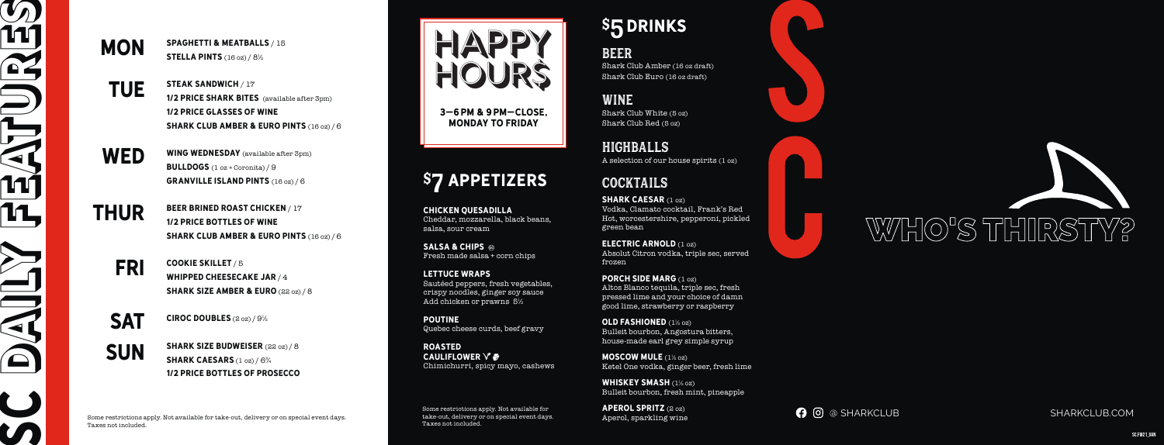**MON** SPAGHETTI & MEATBALLS / 15 **STELLA PINTS** (16 oz) / 8<sup>1/2</sup>

# WHO'S THIRSTY?

**O** @ SHARKCLUB SHARKCLUB.COM

Some restrictions apply. Not available for take-out, delivery or on special event days. Taxes not included.

Some restrictions apply. Not available for take-out, delivery or on special event days. Taxes not included.

**SALSA & CHIPS @** Fresh made salsa + corn chips

# \$ 5DRINKS

CHICKEN QUESADILLA Cheddar, mozzarella, black beans, salsa, sour cream

LETTUCE WRAPS Sautéed peppers, fresh vegetables, crispy noodles, ginger soy sauce Add chicken or prawns 5½

SHARK CAESAR (1 oz) Vodka, Clamato cocktail, Frank's Red Hot, worcestershire, pepperoni, pickled green bean

POUTINE Quebec cheese curds, beef gravy

Roasted CAULIFLOWER  $\vee$   $\clubsuit$ Chimichurri, spicy mayo, cashews

# COCKTAILS

WHISKEY SMASH (1<sup>1</sup>/2 02) Bulleit bourbon, fresh mint, pineapple

BEER Shark Club Amber (16 oz draft) Shark Club Euro (16 oz draft)

APEROL SPRITZ (2 oz) Aperol, sparkling wine

THUR beer brined roast chicken / 17 1/2 Price bottles of wine SHARK CLUB AMBER & EURO PINTS (16 oz)/6

WINE Shark Club White (5 oz) Shark Club Red (5 oz)

FRI cookie skillet / 5 WHIPPED CHEESECAKE JAR  $/4$ **SHARK SIZE AMBER & EURO** (22 oz) / 8

**SAT** CIROC DOUBLES  $(200)/9$ %

steak sandwich / 17 1/2 PRICE SHARK BITES (available after 3pm) 1/2 Price glasses of wine SHARK CLUB AMBER & EURO PINTS (16 oz)/6

> HIGHBALLS A selection of our house spirits (1 oz)

electric arnold (1 oz) Absolut Citron vodka, triple sec, served frozen

SHARK SIZE BUDWEISER (22 oz) / 8 SHARK CAESARS (1 oz) / 6<sup>3</sup>/4 1/2 Price bottles of prosecco PORCH SIDE MARG (1 oz) Altos Blanco tequila, triple sec, fresh pressed lime and your choice of damn good lime, strawberry or raspberry

OLD FASHIONED (1½ oz) Bulleit bourbon, Angostura bitters, house-made earl grey simple syrup

MOSCOW MULE (1½ oz) Ketel One vodka, ginger beer, fresh lime

3–6pm & 9pm–close, Monday to FRIDAY

# \$7 APPETIZERS



SC.FW21\_VAN

WED

**TUE** 

WING WEDNESDAY (available after 3pm) **BULLDOGS**  $(1 \text{ oz} + \text{Coronita}) / 9$ GRANVILLE ISLAND PINTS (16 oz) / 6

SUN